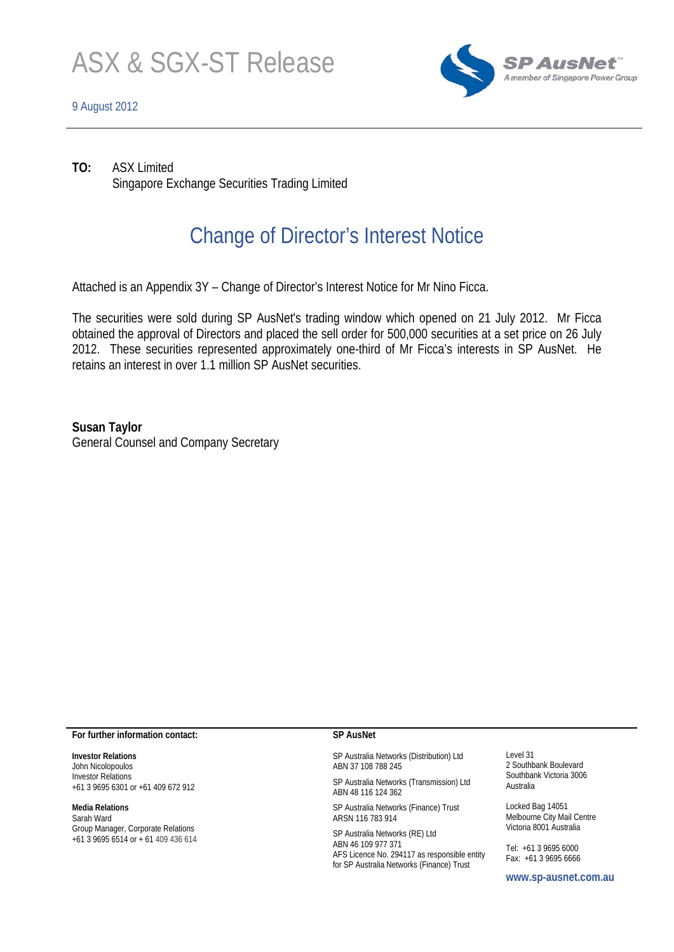

### 9 August 2012



**TO:** ASX Limited Singapore Exchange Securities Trading Limited

## Change of Director's Interest Notice

Attached is an Appendix 3Y – Change of Director's Interest Notice for Mr Nino Ficca.

The securities were sold during SP AusNet's trading window which opened on 21 July 2012. Mr Ficca obtained the approval of Directors and placed the sell order for 500,000 securities at a set price on 26 July 2012. These securities represented approximately one-third of Mr Ficca's interests in SP AusNet. He retains an interest in over 1.1 million SP AusNet securities.

**Susan Taylor**  General Counsel and Company Secretary

#### **For further information contact:**

**Investor Relations**  John Nicolopoulos Investor Relations +61 3 9695 6301 or +61 409 672 912

**Media Relations**  Sarah Ward Group Manager, Corporate Relations +61 3 9695 6514 or + 61 409 436 614

### **SP AusNet**

SP Australia Networks (Distribution) Ltd ABN 37 108 788 245

SP Australia Networks (Transmission) Ltd ABN 48 116 124 362

SP Australia Networks (Finance) Trust ARSN 116 783 914

SP Australia Networks (RE) Ltd ABN 46 109 977 371 AFS Licence No. 294117 as responsible entity for SP Australia Networks (Finance) Trust

Level 31 2 Southbank Boulevard Southbank Victoria 3006 Australia

Locked Bag 14051 Melbourne City Mail Centre Victoria 8001 Australia

Tel: +61 3 9695 6000 Fax: +61 3 9695 6666

**www.sp-ausnet.com.au**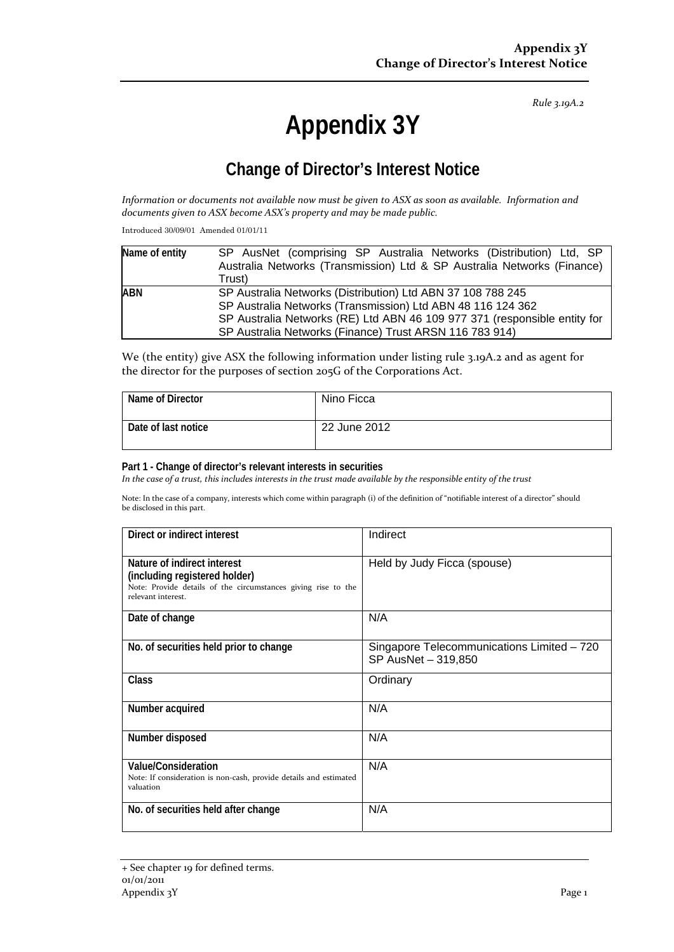*Rule 3.19A.2*

# **Appendix 3Y**

## **Change of Director's Interest Notice**

Information or documents not available now must be given to ASX as soon as available. Information and *documents given to ASX become ASX's property and may be made public.*

Introduced 30/09/01 Amended 01/01/11

| Name of entity                                              | SP AusNet (comprising SP Australia Networks (Distribution) Ltd, SP        |  |  |  |
|-------------------------------------------------------------|---------------------------------------------------------------------------|--|--|--|
|                                                             | Australia Networks (Transmission) Ltd & SP Australia Networks (Finance)   |  |  |  |
|                                                             | Trust)                                                                    |  |  |  |
| <b>ABN</b>                                                  | SP Australia Networks (Distribution) Ltd ABN 37 108 788 245               |  |  |  |
| SP Australia Networks (Transmission) Ltd ABN 48 116 124 362 |                                                                           |  |  |  |
|                                                             | SP Australia Networks (RE) Ltd ABN 46 109 977 371 (responsible entity for |  |  |  |
|                                                             | SP Australia Networks (Finance) Trust ARSN 116 783 914)                   |  |  |  |

We (the entity) give ASX the following information under listing rule 3.19A.2 and as agent for the director for the purposes of section 205G of the Corporations Act.

| Name of Director    | Nino Ficca   |
|---------------------|--------------|
| Date of last notice | 22 June 2012 |

### **Part 1 - Change of director's relevant interests in securities**

In the case of a trust, this includes interests in the trust made available by the responsible entity of the trust

Note: In the case of a company, interests which come within paragraph (i) of the definition of "notifiable interest of a director" should be disclosed in this part.

| Direct or indirect interest                                                                                                                         | Indirect                                                          |  |
|-----------------------------------------------------------------------------------------------------------------------------------------------------|-------------------------------------------------------------------|--|
| Nature of indirect interest<br>(including registered holder)<br>Note: Provide details of the circumstances giving rise to the<br>relevant interest. | Held by Judy Ficca (spouse)                                       |  |
| Date of change                                                                                                                                      | N/A                                                               |  |
| No. of securities held prior to change                                                                                                              | Singapore Telecommunications Limited - 720<br>SP AusNet - 319,850 |  |
| Class                                                                                                                                               | Ordinary                                                          |  |
| Number acquired                                                                                                                                     | N/A                                                               |  |
| Number disposed                                                                                                                                     | N/A                                                               |  |
| Value/Consideration<br>Note: If consideration is non-cash, provide details and estimated<br>valuation                                               | N/A                                                               |  |
| No. of securities held after change                                                                                                                 | N/A                                                               |  |

<sup>+</sup> See chapter 19 for defined terms. 01/01/2011 Appendix 3Y Page 1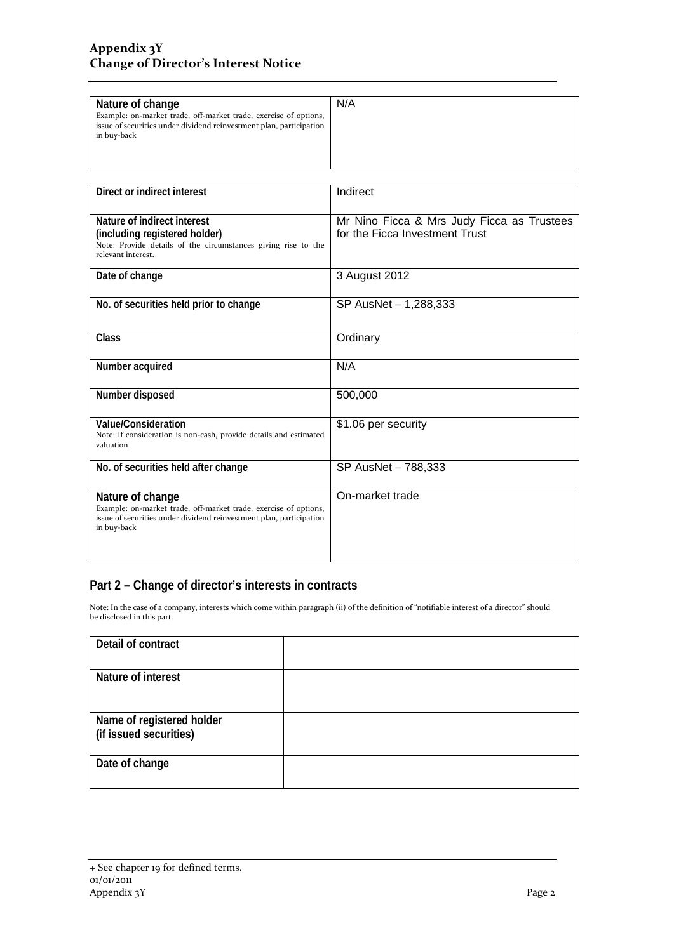| Nature of change                                                    | N/A |
|---------------------------------------------------------------------|-----|
|                                                                     |     |
| Example: on-market trade, off-market trade, exercise of options,    |     |
| issue of securities under dividend reinvestment plan, participation |     |
| in buy-back                                                         |     |
|                                                                     |     |
|                                                                     |     |
|                                                                     |     |
|                                                                     |     |

| Direct or indirect interest                                                                                                                                                | Indirect                                                                     |  |
|----------------------------------------------------------------------------------------------------------------------------------------------------------------------------|------------------------------------------------------------------------------|--|
| Nature of indirect interest<br>(including registered holder)<br>Note: Provide details of the circumstances giving rise to the<br>relevant interest.                        | Mr Nino Ficca & Mrs Judy Ficca as Trustees<br>for the Ficca Investment Trust |  |
| Date of change                                                                                                                                                             | 3 August 2012                                                                |  |
| No. of securities held prior to change                                                                                                                                     | SP AusNet - 1,288,333                                                        |  |
| <b>Class</b>                                                                                                                                                               | Ordinary                                                                     |  |
| Number acquired                                                                                                                                                            | N/A                                                                          |  |
| Number disposed                                                                                                                                                            | 500,000                                                                      |  |
| <b>Value/Consideration</b><br>Note: If consideration is non-cash, provide details and estimated<br>valuation                                                               | \$1.06 per security                                                          |  |
| No. of securities held after change                                                                                                                                        | SP AusNet - 788,333                                                          |  |
| Nature of change<br>Example: on-market trade, off-market trade, exercise of options,<br>issue of securities under dividend reinvestment plan, participation<br>in buy-back | On-market trade                                                              |  |

### **Part 2 – Change of director's interests in contracts**

Note: In the case of a company, interests which come within paragraph (ii) of the definition of "notifiable interest of a director" should be disclosed in this part.

| Detail of contract        |  |
|---------------------------|--|
|                           |  |
| Nature of interest        |  |
|                           |  |
|                           |  |
| Name of registered holder |  |
| (if issued securities)    |  |
|                           |  |
| Date of change            |  |
|                           |  |
|                           |  |